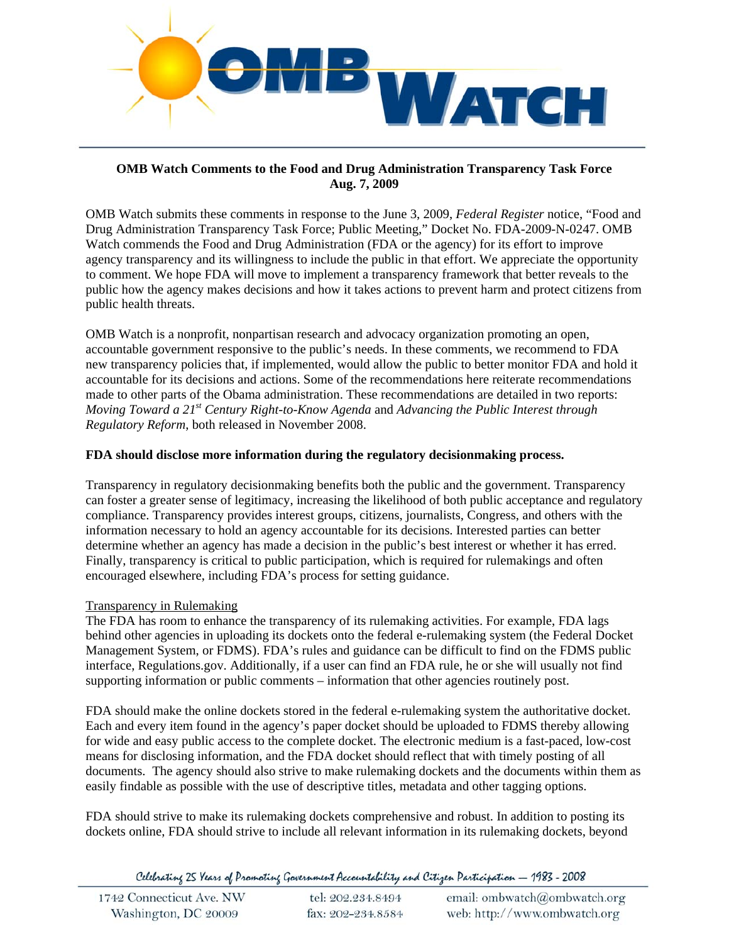

## **OMB Watch Comments to the Food and Drug Administration Transparency Task Force Aug. 7, 2009**

OMB Watch submits these comments in response to the June 3, 2009, *Federal Register* notice, "Food and Drug Administration Transparency Task Force; Public Meeting," Docket No. FDA-2009-N-0247. OMB Watch commends the Food and Drug Administration (FDA or the agency) for its effort to improve agency transparency and its willingness to include the public in that effort. We appreciate the opportunity to comment. We hope FDA will move to implement a transparency framework that better reveals to the public how the agency makes decisions and how it takes actions to prevent harm and protect citizens from public health threats.

OMB Watch is a nonprofit, nonpartisan research and advocacy organization promoting an open, accountable government responsive to the public's needs. In these comments, we recommend to FDA new transparency policies that, if implemented, would allow the public to better monitor FDA and hold it accountable for its decisions and actions. Some of the recommendations here reiterate recommendations made to other parts of the Obama administration. These recommendations are detailed in two reports: *Moving Toward a 21st Century Right-to-Know Agenda* and *Advancing the Public Interest through Regulatory Reform*, both released in November 2008.

## **FDA should disclose more information during the regulatory decisionmaking process.**

Transparency in regulatory decisionmaking benefits both the public and the government. Transparency can foster a greater sense of legitimacy, increasing the likelihood of both public acceptance and regulatory compliance. Transparency provides interest groups, citizens, journalists, Congress, and others with the information necessary to hold an agency accountable for its decisions. Interested parties can better determine whether an agency has made a decision in the public's best interest or whether it has erred. Finally, transparency is critical to public participation, which is required for rulemakings and often encouraged elsewhere, including FDA's process for setting guidance.

# Transparency in Rulemaking

The FDA has room to enhance the transparency of its rulemaking activities. For example, FDA lags behind other agencies in uploading its dockets onto the federal e-rulemaking system (the Federal Docket Management System, or FDMS). FDA's rules and guidance can be difficult to find on the FDMS public interface, Regulations.gov. Additionally, if a user can find an FDA rule, he or she will usually not find supporting information or public comments – information that other agencies routinely post.

FDA should make the online dockets stored in the federal e-rulemaking system the authoritative docket. Each and every item found in the agency's paper docket should be uploaded to FDMS thereby allowing for wide and easy public access to the complete docket. The electronic medium is a fast-paced, low-cost means for disclosing information, and the FDA docket should reflect that with timely posting of all documents. The agency should also strive to make rulemaking dockets and the documents within them as easily findable as possible with the use of descriptive titles, metadata and other tagging options.

FDA should strive to make its rulemaking dockets comprehensive and robust. In addition to posting its dockets online, FDA should strive to include all relevant information in its rulemaking dockets, beyond

Celebrating 25 Years of Promoting Government Accountability and Citizen Participation - 1983 - 2008

| 1742 Connecticut Ave. NW | tel: 202.234.8494 | email: ombwatch@ombwatch.org |
|--------------------------|-------------------|------------------------------|
| Washington, DC 20009     | fax: 202-234.8584 | web: http://www.ombwatch.org |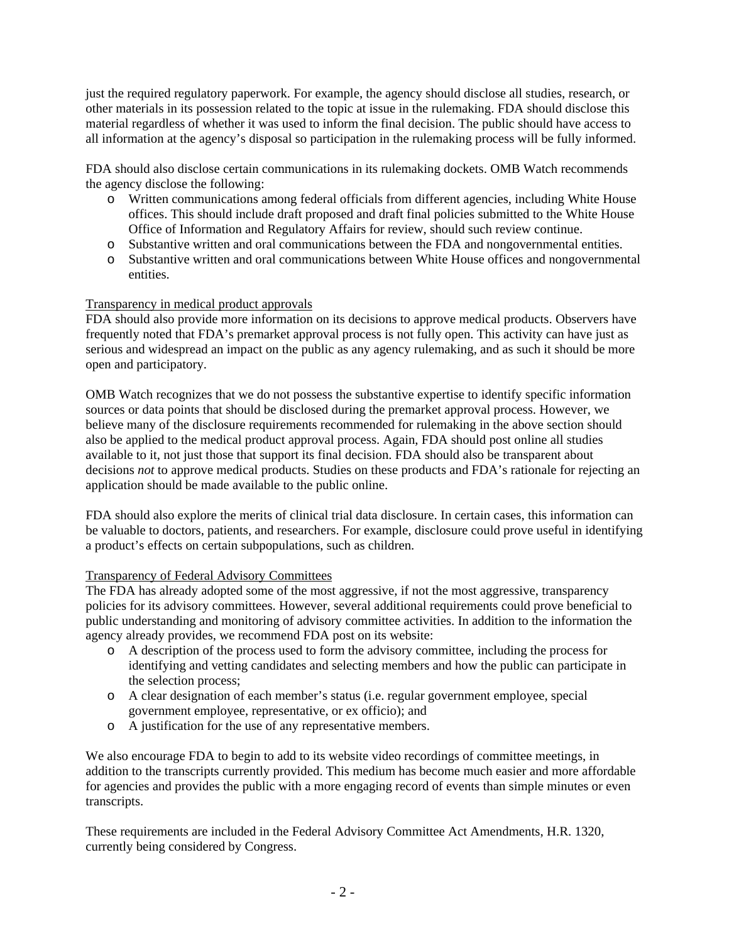just the required regulatory paperwork. For example, the agency should disclose all studies, research, or other materials in its possession related to the topic at issue in the rulemaking. FDA should disclose this material regardless of whether it was used to inform the final decision. The public should have access to all information at the agency's disposal so participation in the rulemaking process will be fully informed.

FDA should also disclose certain communications in its rulemaking dockets. OMB Watch recommends the agency disclose the following:

- o Written communications among federal officials from different agencies, including White House offices. This should include draft proposed and draft final policies submitted to the White House Office of Information and Regulatory Affairs for review, should such review continue.
- o Substantive written and oral communications between the FDA and nongovernmental entities.
- o Substantive written and oral communications between White House offices and nongovernmental entities.

## Transparency in medical product approvals

FDA should also provide more information on its decisions to approve medical products. Observers have frequently noted that FDA's premarket approval process is not fully open. This activity can have just as serious and widespread an impact on the public as any agency rulemaking, and as such it should be more open and participatory.

OMB Watch recognizes that we do not possess the substantive expertise to identify specific information sources or data points that should be disclosed during the premarket approval process. However, we believe many of the disclosure requirements recommended for rulemaking in the above section should also be applied to the medical product approval process. Again, FDA should post online all studies available to it, not just those that support its final decision. FDA should also be transparent about decisions *not* to approve medical products. Studies on these products and FDA's rationale for rejecting an application should be made available to the public online.

FDA should also explore the merits of clinical trial data disclosure. In certain cases, this information can be valuable to doctors, patients, and researchers. For example, disclosure could prove useful in identifying a product's effects on certain subpopulations, such as children.

### Transparency of Federal Advisory Committees

The FDA has already adopted some of the most aggressive, if not the most aggressive, transparency policies for its advisory committees. However, several additional requirements could prove beneficial to public understanding and monitoring of advisory committee activities. In addition to the information the agency already provides, we recommend FDA post on its website:

- o A description of the process used to form the advisory committee, including the process for identifying and vetting candidates and selecting members and how the public can participate in the selection process;
- o A clear designation of each member's status (i.e. regular government employee, special government employee, representative, or ex officio); and
- o A justification for the use of any representative members.

We also encourage FDA to begin to add to its website video recordings of committee meetings, in addition to the transcripts currently provided. This medium has become much easier and more affordable for agencies and provides the public with a more engaging record of events than simple minutes or even transcripts.

These requirements are included in the Federal Advisory Committee Act Amendments, H.R. 1320, currently being considered by Congress.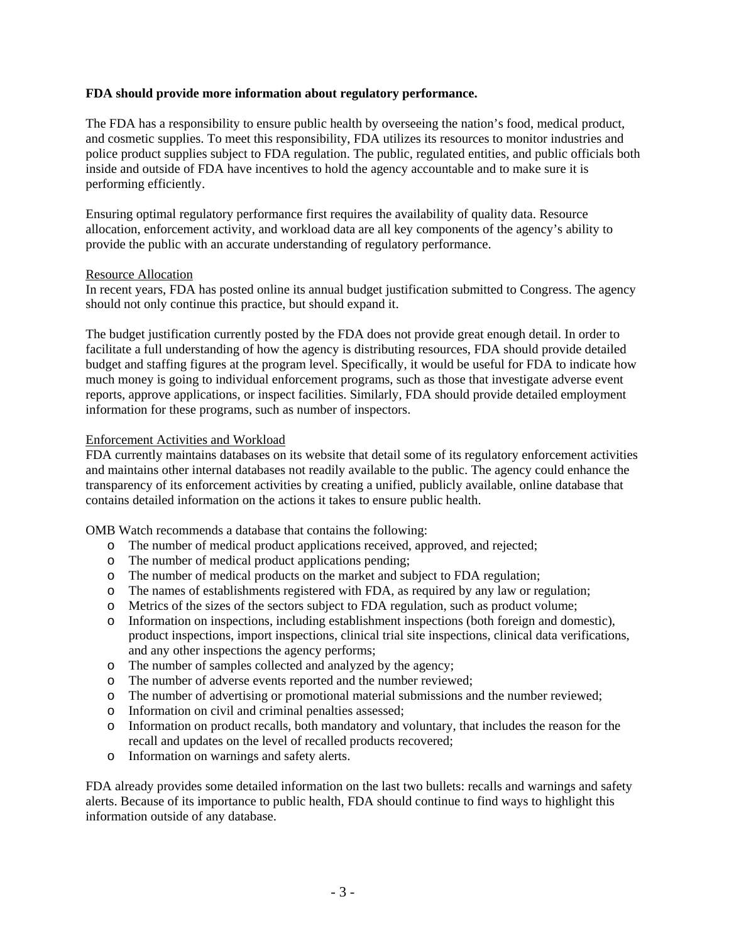### **FDA should provide more information about regulatory performance.**

The FDA has a responsibility to ensure public health by overseeing the nation's food, medical product, and cosmetic supplies. To meet this responsibility, FDA utilizes its resources to monitor industries and police product supplies subject to FDA regulation. The public, regulated entities, and public officials both inside and outside of FDA have incentives to hold the agency accountable and to make sure it is performing efficiently.

Ensuring optimal regulatory performance first requires the availability of quality data. Resource allocation, enforcement activity, and workload data are all key components of the agency's ability to provide the public with an accurate understanding of regulatory performance.

#### Resource Allocation

In recent years, FDA has posted online its annual budget justification submitted to Congress. The agency should not only continue this practice, but should expand it.

The budget justification currently posted by the FDA does not provide great enough detail. In order to facilitate a full understanding of how the agency is distributing resources, FDA should provide detailed budget and staffing figures at the program level. Specifically, it would be useful for FDA to indicate how much money is going to individual enforcement programs, such as those that investigate adverse event reports, approve applications, or inspect facilities. Similarly, FDA should provide detailed employment information for these programs, such as number of inspectors.

#### Enforcement Activities and Workload

FDA currently maintains databases on its website that detail some of its regulatory enforcement activities and maintains other internal databases not readily available to the public. The agency could enhance the transparency of its enforcement activities by creating a unified, publicly available, online database that contains detailed information on the actions it takes to ensure public health.

OMB Watch recommends a database that contains the following:

- o The number of medical product applications received, approved, and rejected;
- o The number of medical product applications pending;
- o The number of medical products on the market and subject to FDA regulation;
- o The names of establishments registered with FDA, as required by any law or regulation;
- o Metrics of the sizes of the sectors subject to FDA regulation, such as product volume;
- o Information on inspections, including establishment inspections (both foreign and domestic), product inspections, import inspections, clinical trial site inspections, clinical data verifications, and any other inspections the agency performs;
- o The number of samples collected and analyzed by the agency;
- o The number of adverse events reported and the number reviewed;
- o The number of advertising or promotional material submissions and the number reviewed;
- o Information on civil and criminal penalties assessed;
- o Information on product recalls, both mandatory and voluntary, that includes the reason for the recall and updates on the level of recalled products recovered;
- o Information on warnings and safety alerts.

FDA already provides some detailed information on the last two bullets: recalls and warnings and safety alerts. Because of its importance to public health, FDA should continue to find ways to highlight this information outside of any database.